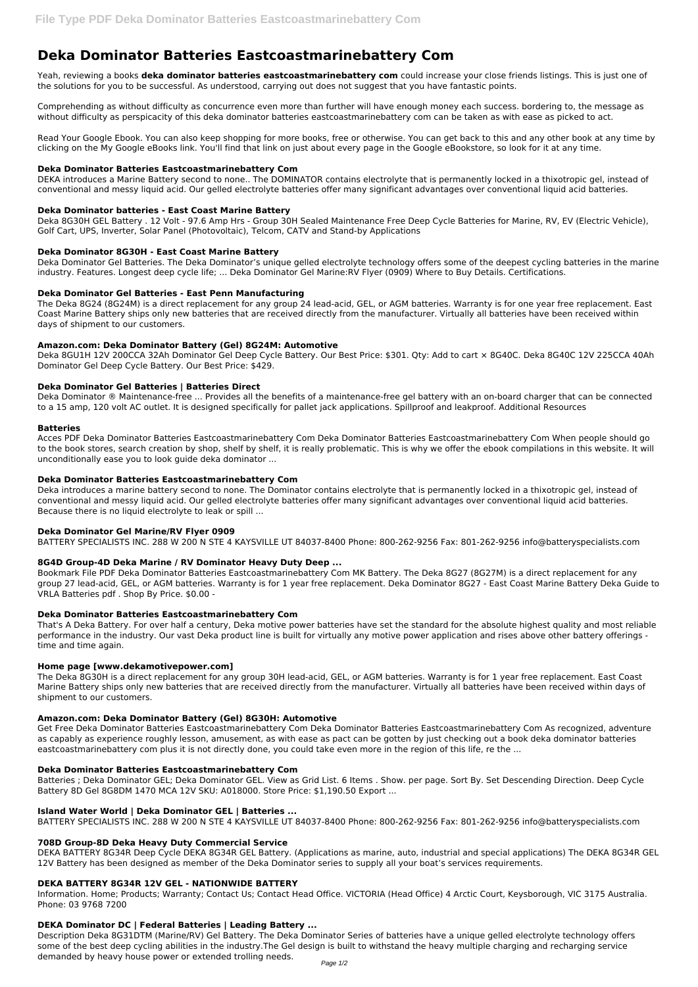# **Deka Dominator Batteries Eastcoastmarinebattery Com**

Yeah, reviewing a books **deka dominator batteries eastcoastmarinebattery com** could increase your close friends listings. This is just one of the solutions for you to be successful. As understood, carrying out does not suggest that you have fantastic points.

Comprehending as without difficulty as concurrence even more than further will have enough money each success. bordering to, the message as without difficulty as perspicacity of this deka dominator batteries eastcoastmarinebattery com can be taken as with ease as picked to act.

Read Your Google Ebook. You can also keep shopping for more books, free or otherwise. You can get back to this and any other book at any time by clicking on the My Google eBooks link. You'll find that link on just about every page in the Google eBookstore, so look for it at any time.

## **Deka Dominator Batteries Eastcoastmarinebattery Com**

DEKA introduces a Marine Battery second to none.. The DOMINATOR contains electrolyte that is permanently locked in a thixotropic gel, instead of conventional and messy liquid acid. Our gelled electrolyte batteries offer many significant advantages over conventional liquid acid batteries.

# **Deka Dominator batteries - East Coast Marine Battery**

Deka 8G30H GEL Battery . 12 Volt - 97.6 Amp Hrs - Group 30H Sealed Maintenance Free Deep Cycle Batteries for Marine, RV, EV (Electric Vehicle), Golf Cart, UPS, Inverter, Solar Panel (Photovoltaic), Telcom, CATV and Stand-by Applications

# **Deka Dominator 8G30H - East Coast Marine Battery**

Deka Dominator Gel Batteries. The Deka Dominator's unique gelled electrolyte technology offers some of the deepest cycling batteries in the marine industry. Features. Longest deep cycle life; ... Deka Dominator Gel Marine:RV Flyer (0909) Where to Buy Details. Certifications.

# **Deka Dominator Gel Batteries - East Penn Manufacturing**

The Deka 8G24 (8G24M) is a direct replacement for any group 24 lead-acid, GEL, or AGM batteries. Warranty is for one year free replacement. East Coast Marine Battery ships only new batteries that are received directly from the manufacturer. Virtually all batteries have been received within days of shipment to our customers.

# **Amazon.com: Deka Dominator Battery (Gel) 8G24M: Automotive**

Deka 8GU1H 12V 200CCA 32Ah Dominator Gel Deep Cycle Battery. Our Best Price: \$301. Qty: Add to cart × 8G40C. Deka 8G40C 12V 225CCA 40Ah Dominator Gel Deep Cycle Battery. Our Best Price: \$429.

## **Deka Dominator Gel Batteries | Batteries Direct**

Deka Dominator ® Maintenance-free ... Provides all the benefits of a maintenance-free gel battery with an on-board charger that can be connected to a 15 amp, 120 volt AC outlet. It is designed specifically for pallet jack applications. Spillproof and leakproof. Additional Resources

## **Batteries**

Acces PDF Deka Dominator Batteries Eastcoastmarinebattery Com Deka Dominator Batteries Eastcoastmarinebattery Com When people should go to the book stores, search creation by shop, shelf by shelf, it is really problematic. This is why we offer the ebook compilations in this website. It will unconditionally ease you to look guide deka dominator ...

## **Deka Dominator Batteries Eastcoastmarinebattery Com**

Deka introduces a marine battery second to none. The Dominator contains electrolyte that is permanently locked in a thixotropic gel, instead of conventional and messy liquid acid. Our gelled electrolyte batteries offer many significant advantages over conventional liquid acid batteries. Because there is no liquid electrolyte to leak or spill ...

## **Deka Dominator Gel Marine/RV Flyer 0909**

BATTERY SPECIALISTS INC. 288 W 200 N STE 4 KAYSVILLE UT 84037-8400 Phone: 800-262-9256 Fax: 801-262-9256 info@batteryspecialists.com

## **8G4D Group-4D Deka Marine / RV Dominator Heavy Duty Deep ...**

Bookmark File PDF Deka Dominator Batteries Eastcoastmarinebattery Com MK Battery. The Deka 8G27 (8G27M) is a direct replacement for any group 27 lead-acid, GEL, or AGM batteries. Warranty is for 1 year free replacement. Deka Dominator 8G27 - East Coast Marine Battery Deka Guide to VRLA Batteries pdf . Shop By Price. \$0.00 -

## **Deka Dominator Batteries Eastcoastmarinebattery Com**

That's A Deka Battery. For over half a century, Deka motive power batteries have set the standard for the absolute highest quality and most reliable performance in the industry. Our vast Deka product line is built for virtually any motive power application and rises above other battery offerings time and time again.

## **Home page [www.dekamotivepower.com]**

The Deka 8G30H is a direct replacement for any group 30H lead-acid, GEL, or AGM batteries. Warranty is for 1 year free replacement. East Coast Marine Battery ships only new batteries that are received directly from the manufacturer. Virtually all batteries have been received within days of shipment to our customers.

## **Amazon.com: Deka Dominator Battery (Gel) 8G30H: Automotive**

Get Free Deka Dominator Batteries Eastcoastmarinebattery Com Deka Dominator Batteries Eastcoastmarinebattery Com As recognized, adventure as capably as experience roughly lesson, amusement, as with ease as pact can be gotten by just checking out a book deka dominator batteries

eastcoastmarinebattery com plus it is not directly done, you could take even more in the region of this life, re the ...

#### **Deka Dominator Batteries Eastcoastmarinebattery Com**

Batteries ; Deka Dominator GEL; Deka Dominator GEL. View as Grid List. 6 Items . Show. per page. Sort By. Set Descending Direction. Deep Cycle Battery 8D Gel 8G8DM 1470 MCA 12V SKU: A018000. Store Price: \$1,190.50 Export ...

#### **Island Water World | Deka Dominator GEL | Batteries ...**

BATTERY SPECIALISTS INC. 288 W 200 N STE 4 KAYSVILLE UT 84037-8400 Phone: 800-262-9256 Fax: 801-262-9256 info@batteryspecialists.com

#### **708D Group-8D Deka Heavy Duty Commercial Service**

DEKA BATTERY 8G34R Deep Cycle DEKA 8G34R GEL Battery. (Applications as marine, auto, industrial and special applications) The DEKA 8G34R GEL 12V Battery has been designed as member of the Deka Dominator series to supply all your boat's services requirements.

# **DEKA BATTERY 8G34R 12V GEL - NATIONWIDE BATTERY**

Information. Home; Products; Warranty; Contact Us; Contact Head Office. VICTORIA (Head Office) 4 Arctic Court, Keysborough, VIC 3175 Australia. Phone: 03 9768 7200

#### **DEKA Dominator DC | Federal Batteries | Leading Battery ...**

Description Deka 8G31DTM (Marine/RV) Gel Battery. The Deka Dominator Series of batteries have a unique gelled electrolyte technology offers some of the best deep cycling abilities in the industry.The Gel design is built to withstand the heavy multiple charging and recharging service demanded by heavy house power or extended trolling needs.